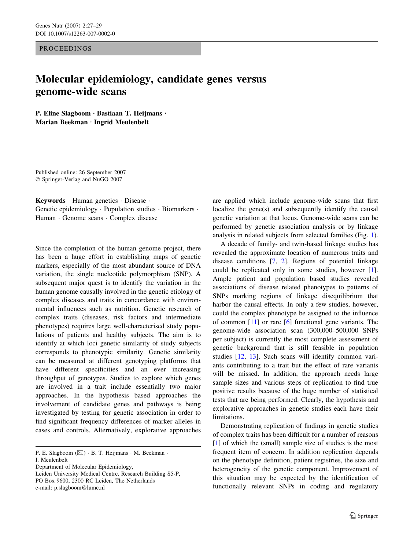**PROCEEDINGS** 

## Molecular epidemiology, candidate genes versus genome-wide scans

P. Eline Slagboom  $\cdot$  Bastiaan T. Heijmans  $\cdot$ Marian Beekman · Ingrid Meulenbelt

Published online: 26 September 2007 Springer-Verlag and NuGO 2007

Keywords Human genetics · Disease · Genetic epidemiology  $\cdot$  Population studies  $\cdot$  Biomarkers  $\cdot$ Human · Genome scans · Complex disease

Since the completion of the human genome project, there has been a huge effort in establishing maps of genetic markers, especially of the most abundant source of DNA variation, the single nucleotide polymorphism (SNP). A subsequent major quest is to identify the variation in the human genome causally involved in the genetic etiology of complex diseases and traits in concordance with environmental influences such as nutrition. Genetic research of complex traits (diseases, risk factors and intermediate phenotypes) requires large well-characterised study populations of patients and healthy subjects. The aim is to identify at which loci genetic similarity of study subjects corresponds to phenotypic similarity. Genetic similarity can be measured at different genotyping platforms that have different specificities and an ever increasing throughput of genotypes. Studies to explore which genes are involved in a trait include essentially two major approaches. In the hypothesis based approaches the involvement of candidate genes and pathways is being investigated by testing for genetic association in order to find significant frequency differences of marker alleles in cases and controls. Alternatively, explorative approaches

P. E. Slagboom ( $\boxtimes$ ) · B. T. Heijmans · M. Beekman · I. Meulenbelt

Department of Molecular Epidemiology,

Leiden University Medical Centre, Research Building S5-P, PO Box 9600, 2300 RC Leiden, The Netherlands e-mail: p.slagboom@lumc.nl

are applied which include genome-wide scans that first localize the gene(s) and subsequently identify the causal genetic variation at that locus. Genome-wide scans can be performed by genetic association analysis or by linkage analysis in related subjects from selected families (Fig. [1](#page-1-0)).

A decade of family- and twin-based linkage studies has revealed the approximate location of numerous traits and disease conditions [[7,](#page-2-0) [2\]](#page-2-0). Regions of potential linkage could be replicated only in some studies, however [\[1](#page-2-0)]. Ample patient and population based studies revealed associations of disease related phenotypes to patterns of SNPs marking regions of linkage disequilibrium that harbor the causal effects. In only a few studies, however, could the complex phenotype be assigned to the influence of common [\[11](#page-2-0)] or rare [[6\]](#page-2-0) functional gene variants. The genome-wide association scan (300,000–500,000 SNPs per subject) is currently the most complete assessment of genetic background that is still feasible in population studies [[12,](#page-2-0) [13\]](#page-2-0). Such scans will identify common variants contributing to a trait but the effect of rare variants will be missed. In addition, the approach needs large sample sizes and various steps of replication to find true positive results because of the huge number of statistical tests that are being performed. Clearly, the hypothesis and explorative approaches in genetic studies each have their limitations.

Demonstrating replication of findings in genetic studies of complex traits has been difficult for a number of reasons [\[1](#page-2-0)] of which the (small) sample size of studies is the most frequent item of concern. In addition replication depends on the phenotype definition, patient registries, the size and heterogeneity of the genetic component. Improvement of this situation may be expected by the identification of functionally relevant SNPs in coding and regulatory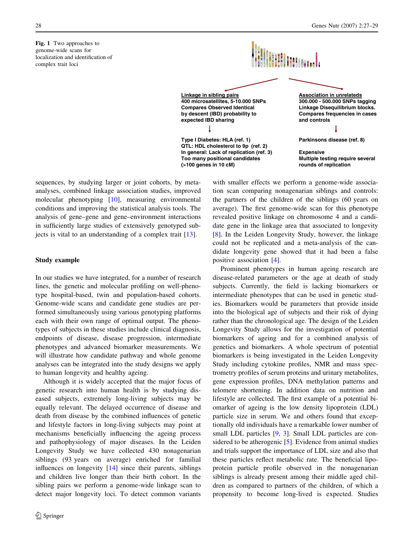<span id="page-1-0"></span>Fig. 1 Two approaches to genome-wide scans for localization and identification of complex trait loci



**QTL: HDL cholesterol to 9p (ref. 2) In general: Lack of replication (ref. 3) Too many positional candidates (>100 genes in 10 cM)** 

**Association in unrelateds 300.000 - 500.000 SNPs tagging Linkage Disequilibrium blocks. Compares frequencies in cases and controls** 

**Parkinsons disease (ref. 8)**

**Expensive Multiple testing require several rounds of replication** 

sequences, by studying larger or joint cohorts, by metaanalyses, combined linkage association studies, improved molecular phenotyping [\[10](#page-2-0)], measuring environmental conditions and improving the statistical analysis tools. The analysis of gene–gene and gene–environment interactions in sufficiently large studies of extensively genotyped subjects is vital to an understanding of a complex trait [[13\]](#page-2-0).

## Study example

In our studies we have integrated, for a number of research lines, the genetic and molecular profiling on well-phenotype hospital-based, twin and population-based cohorts. Genome-wide scans and candidate gene studies are performed simultaneously using various genotyping platforms each with their own range of optimal output. The phenotypes of subjects in these studies include clinical diagnosis, endpoints of disease, disease progression, intermediate phenotypes and advanced biomarker measurements. We will illustrate how candidate pathway and whole genome analyses can be integrated into the study designs we apply to human longevity and healthy ageing.

Although it is widely accepted that the major focus of genetic research into human health is by studying diseased subjects, extremely long-living subjects may be equally relevant. The delayed occurrence of disease and death from disease by the combined influences of genetic and lifestyle factors in long-living subjects may point at mechanisms beneficially influencing the ageing process and pathophysiology of major diseases. In the Leiden Longevity Study we have collected 430 nonagenarian siblings (93 years on average) enriched for familial influences on longevity [\[14](#page-2-0)] since their parents, siblings and children live longer than their birth cohort. In the sibling pairs we perform a genome-wide linkage scan to detect major longevity loci. To detect common variants

with smaller effects we perform a genome-wide association scan comparing nonagenarian siblings and controls: the partners of the children of the siblings (60 years on average). The first genome-wide scan for this phenotype revealed positive linkage on chromosome 4 and a candidate gene in the linkage area that associated to longevity [\[8](#page-2-0)]. In the Leiden Longevity Study, however, the linkage could not be replicated and a meta-analysis of the candidate longevity gene showed that it had been a false positive association [[4\]](#page-2-0).

Prominent phenotypes in human ageing research are disease-related parameters or the age at death of study subjects. Currently, the field is lacking biomarkers or intermediate phenotypes that can be used in genetic studies. Biomarkers would be parameters that provide inside into the biological age of subjects and their risk of dying rather than the chronological age. The design of the Leiden Longevity Study allows for the investigation of potential biomarkers of ageing and for a combined analysis of genetics and biomarkers. A whole spectrum of potential biomarkers is being investigated in the Leiden Longevity Study including cytokine profiles, NMR and mass spectrometry profiles of serum proteins and urinary metabolites, gene expression profiles, DNA methylation patterns and telomere shortening. In addition data on nutrition and lifestyle are collected. The first example of a potential biomarker of ageing is the low density lipoprotein (LDL) particle size in serum. We and others found that exceptionally old individuals have a remarkable lower number of small LDL particles [\[9](#page-2-0), [3](#page-2-0)]. Small LDL particles are considered to be atherogenic [[5\]](#page-2-0). Evidence from animal studies and trials support the importance of LDL size and also that these particles reflect metabolic rate. The beneficial lipoprotein particle profile observed in the nonagenarian siblings is already present among their middle aged children as compared to partners of the children, of which a propensity to become long-lived is expected. Studies